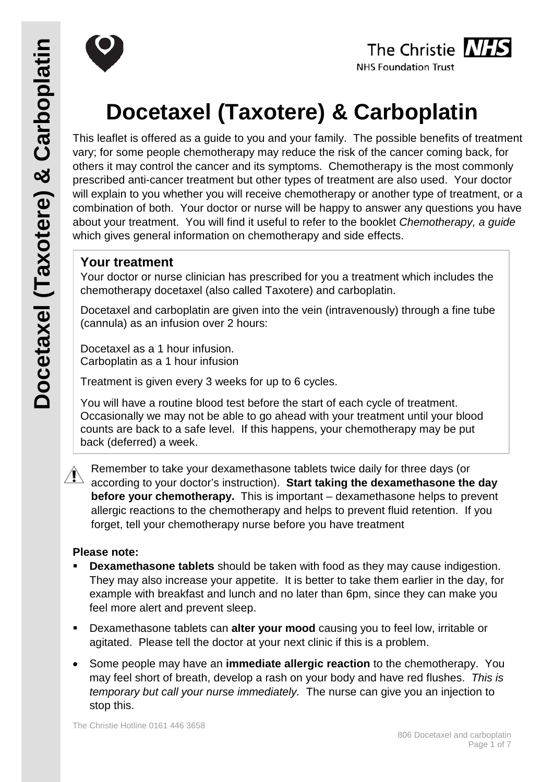



# **Docetaxel (Taxotere) & Carboplatin**

This leaflet is offered as a guide to you and your family. The possible benefits of treatment vary; for some people chemotherapy may reduce the risk of the cancer coming back, for others it may control the cancer and its symptoms. Chemotherapy is the most commonly prescribed anti-cancer treatment but other types of treatment are also used. Your doctor will explain to you whether you will receive chemotherapy or another type of treatment, or a combination of both. Your doctor or nurse will be happy to answer any questions you have about your treatment. You will find it useful to refer to the booklet *Chemotherapy, a guide* which gives general information on chemotherapy and side effects.

# **Your treatment**

Your doctor or nurse clinician has prescribed for you a treatment which includes the chemotherapy docetaxel (also called Taxotere) and carboplatin.

Docetaxel and carboplatin are given into the vein (intravenously) through a fine tube (cannula) as an infusion over 2 hours:

Docetaxel as a 1 hour infusion. Carboplatin as a 1 hour infusion

Treatment is given every 3 weeks for up to 6 cycles.

You will have a routine blood test before the start of each cycle of treatment. Occasionally we may not be able to go ahead with your treatment until your blood counts are back to a safe level. If this happens, your chemotherapy may be put back (deferred) a week.

Remember to take your dexamethasone tablets twice daily for three days (or according to your doctor's instruction). **Start taking the dexamethasone the day before your chemotherapy.** This is important – dexamethasone helps to prevent allergic reactions to the chemotherapy and helps to prevent fluid retention. If you forget, tell your chemotherapy nurse before you have treatment

# **Please note:**

- **Dexamethasone tablets** should be taken with food as they may cause indigestion. They may also increase your appetite. It is better to take them earlier in the day, for example with breakfast and lunch and no later than 6pm, since they can make you feel more alert and prevent sleep.
- Dexamethasone tablets can **alter your mood** causing you to feel low, irritable or agitated. Please tell the doctor at your next clinic if this is a problem.
- Some people may have an **immediate allergic reaction** to the chemotherapy. You may feel short of breath, develop a rash on your body and have red flushes. *This is temporary but call your nurse immediately.* The nurse can give you an injection to stop this.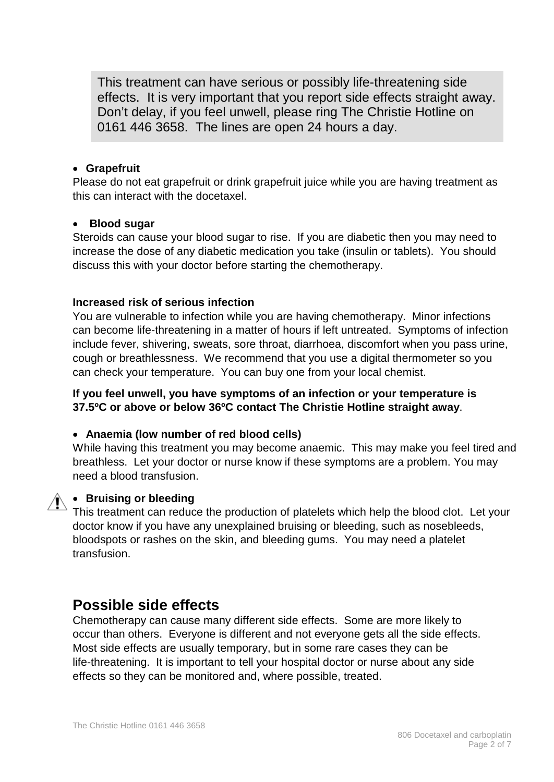This treatment can have serious or possibly life-threatening side effects. It is very important that you report side effects straight away. Don't delay, if you feel unwell, please ring The Christie Hotline on 0161 446 3658. The lines are open 24 hours a day.

# • **Grapefruit**

Please do not eat grapefruit or drink grapefruit juice while you are having treatment as this can interact with the docetaxel.

#### • **Blood sugar**

Steroids can cause your blood sugar to rise. If you are diabetic then you may need to increase the dose of any diabetic medication you take (insulin or tablets). You should discuss this with your doctor before starting the chemotherapy.

# **Increased risk of serious infection**

You are vulnerable to infection while you are having chemotherapy. Minor infections can become life-threatening in a matter of hours if left untreated. Symptoms of infection include fever, shivering, sweats, sore throat, diarrhoea, discomfort when you pass urine, cough or breathlessness. We recommend that you use a digital thermometer so you can check your temperature. You can buy one from your local chemist.

# **If you feel unwell, you have symptoms of an infection or your temperature is 37.5ºC or above or below 36ºC contact The Christie Hotline straight away**.

# • **Anaemia (low number of red blood cells)**

While having this treatment you may become anaemic. This may make you feel tired and breathless. Let your doctor or nurse know if these symptoms are a problem. You may need a blood transfusion.



# • **Bruising or bleeding**

This treatment can reduce the production of platelets which help the blood clot. Let your doctor know if you have any unexplained bruising or bleeding, such as nosebleeds, bloodspots or rashes on the skin, and bleeding gums. You may need a platelet transfusion.

# **Possible side effects**

Chemotherapy can cause many different side effects. Some are more likely to occur than others. Everyone is different and not everyone gets all the side effects. Most side effects are usually temporary, but in some rare cases they can be life-threatening. It is important to tell your hospital doctor or nurse about any side effects so they can be monitored and, where possible, treated.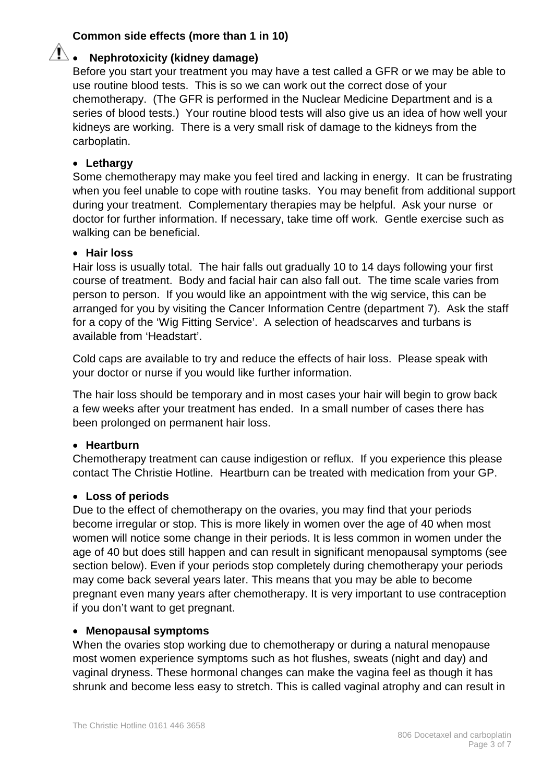# **Common side effects (more than 1 in 10)**

# • **Nephrotoxicity (kidney damage)**

Before you start your treatment you may have a test called a GFR or we may be able to use routine blood tests. This is so we can work out the correct dose of your chemotherapy. (The GFR is performed in the Nuclear Medicine Department and is a series of blood tests.) Your routine blood tests will also give us an idea of how well your kidneys are working. There is a very small risk of damage to the kidneys from the carboplatin.

# • **Lethargy**

Some chemotherapy may make you feel tired and lacking in energy. It can be frustrating when you feel unable to cope with routine tasks. You may benefit from additional support during your treatment. Complementary therapies may be helpful. Ask your nurse or doctor for further information. If necessary, take time off work. Gentle exercise such as walking can be beneficial.

#### • **Hair loss**

Hair loss is usually total. The hair falls out gradually 10 to 14 days following your first course of treatment. Body and facial hair can also fall out. The time scale varies from person to person. If you would like an appointment with the wig service, this can be arranged for you by visiting the Cancer Information Centre (department 7). Ask the staff for a copy of the 'Wig Fitting Service'. A selection of headscarves and turbans is available from 'Headstart'.

Cold caps are available to try and reduce the effects of hair loss. Please speak with your doctor or nurse if you would like further information.

The hair loss should be temporary and in most cases your hair will begin to grow back a few weeks after your treatment has ended. In a small number of cases there has been prolonged on permanent hair loss.

#### • **Heartburn**

Chemotherapy treatment can cause indigestion or reflux. If you experience this please contact The Christie Hotline. Heartburn can be treated with medication from your GP.

#### • **Loss of periods**

Due to the effect of chemotherapy on the ovaries, you may find that your periods become irregular or stop. This is more likely in women over the age of 40 when most women will notice some change in their periods. It is less common in women under the age of 40 but does still happen and can result in significant menopausal symptoms (see section below). Even if your periods stop completely during chemotherapy your periods may come back several years later. This means that you may be able to become pregnant even many years after chemotherapy. It is very important to use contraception if you don't want to get pregnant.

#### • **Menopausal symptoms**

When the ovaries stop working due to chemotherapy or during a natural menopause most women experience symptoms such as hot flushes, sweats (night and day) and vaginal dryness. These hormonal changes can make the vagina feel as though it has shrunk and become less easy to stretch. This is called vaginal atrophy and can result in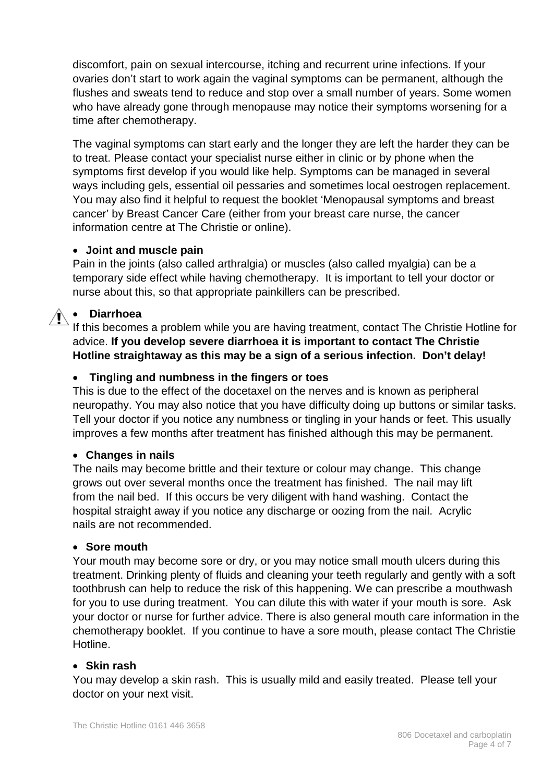discomfort, pain on sexual intercourse, itching and recurrent urine infections. If your ovaries don't start to work again the vaginal symptoms can be permanent, although the flushes and sweats tend to reduce and stop over a small number of years. Some women who have already gone through menopause may notice their symptoms worsening for a time after chemotherapy.

The vaginal symptoms can start early and the longer they are left the harder they can be to treat. Please contact your specialist nurse either in clinic or by phone when the symptoms first develop if you would like help. Symptoms can be managed in several ways including gels, essential oil pessaries and sometimes local oestrogen replacement. You may also find it helpful to request the booklet 'Menopausal symptoms and breast cancer' by Breast Cancer Care (either from your breast care nurse, the cancer information centre at The Christie or online).

# • **Joint and muscle pain**

Pain in the joints (also called arthralgia) or muscles (also called myalgia) can be a temporary side effect while having chemotherapy. It is important to tell your doctor or nurse about this, so that appropriate painkillers can be prescribed.

# • **Diarrhoea**

If this becomes a problem while you are having treatment, contact The Christie Hotline for advice. **If you develop severe diarrhoea it is important to contact The Christie Hotline straightaway as this may be a sign of a serious infection. Don't delay!**

# • **Tingling and numbness in the fingers or toes**

This is due to the effect of the docetaxel on the nerves and is known as peripheral neuropathy. You may also notice that you have difficulty doing up buttons or similar tasks. Tell your doctor if you notice any numbness or tingling in your hands or feet. This usually improves a few months after treatment has finished although this may be permanent.

#### • **Changes in nails**

The nails may become brittle and their texture or colour may change. This change grows out over several months once the treatment has finished. The nail may lift from the nail bed. If this occurs be very diligent with hand washing. Contact the hospital straight away if you notice any discharge or oozing from the nail. Acrylic nails are not recommended.

#### • **Sore mouth**

Your mouth may become sore or dry, or you may notice small mouth ulcers during this treatment. Drinking plenty of fluids and cleaning your teeth regularly and gently with a soft toothbrush can help to reduce the risk of this happening. We can prescribe a mouthwash for you to use during treatment. You can dilute this with water if your mouth is sore. Ask your doctor or nurse for further advice. There is also general mouth care information in the chemotherapy booklet. If you continue to have a sore mouth, please contact The Christie Hotline.

#### • **Skin rash**

You may develop a skin rash. This is usually mild and easily treated. Please tell your doctor on your next visit.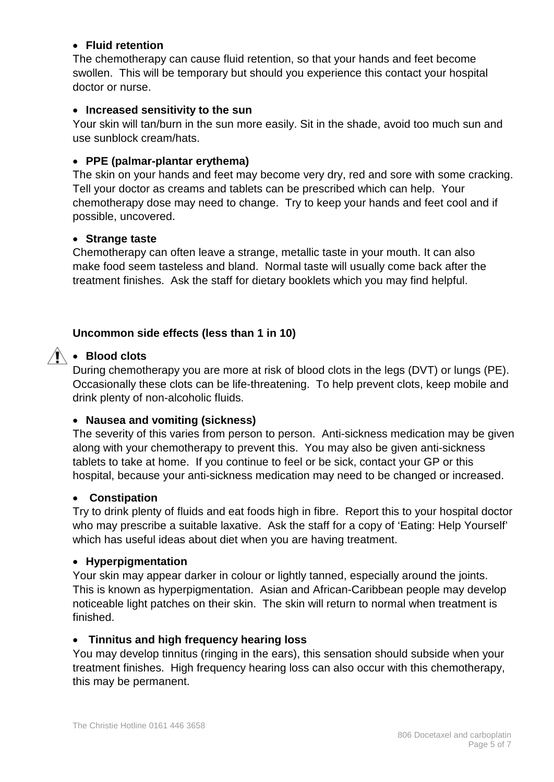# • **Fluid retention**

The chemotherapy can cause fluid retention, so that your hands and feet become swollen. This will be temporary but should you experience this contact your hospital doctor or nurse.

#### • **Increased sensitivity to the sun**

Your skin will tan/burn in the sun more easily. Sit in the shade, avoid too much sun and use sunblock cream/hats.

#### • **PPE (palmar-plantar erythema)**

The skin on your hands and feet may become very dry, red and sore with some cracking. Tell your doctor as creams and tablets can be prescribed which can help. Your chemotherapy dose may need to change. Try to keep your hands and feet cool and if possible, uncovered.

#### • **Strange taste**

Chemotherapy can often leave a strange, metallic taste in your mouth. It can also make food seem tasteless and bland. Normal taste will usually come back after the treatment finishes. Ask the staff for dietary booklets which you may find helpful.

#### **Uncommon side effects (less than 1 in 10)**

# • **Blood clots**

During chemotherapy you are more at risk of blood clots in the legs (DVT) or lungs (PE). Occasionally these clots can be life-threatening. To help prevent clots, keep mobile and drink plenty of non-alcoholic fluids.

#### • **Nausea and vomiting (sickness)**

The severity of this varies from person to person. Anti-sickness medication may be given along with your chemotherapy to prevent this. You may also be given anti-sickness tablets to take at home. If you continue to feel or be sick, contact your GP or this hospital, because your anti-sickness medication may need to be changed or increased.

#### • **Constipation**

Try to drink plenty of fluids and eat foods high in fibre. Report this to your hospital doctor who may prescribe a suitable laxative. Ask the staff for a copy of 'Eating: Help Yourself' which has useful ideas about diet when you are having treatment.

#### • **Hyperpigmentation**

Your skin may appear darker in colour or lightly tanned, especially around the joints. This is known as hyperpigmentation. Asian and African-Caribbean people may develop noticeable light patches on their skin. The skin will return to normal when treatment is finished.

#### • **Tinnitus and high frequency hearing loss**

You may develop tinnitus (ringing in the ears), this sensation should subside when your treatment finishes. High frequency hearing loss can also occur with this chemotherapy, this may be permanent.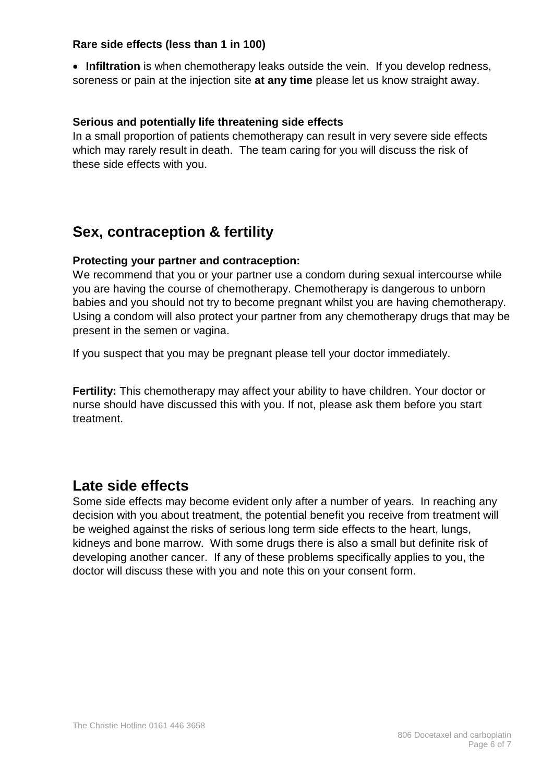#### **Rare side effects (less than 1 in 100)**

• **Infiltration** is when chemotherapy leaks outside the vein. If you develop redness, soreness or pain at the injection site **at any time** please let us know straight away.

# **Serious and potentially life threatening side effects**

In a small proportion of patients chemotherapy can result in very severe side effects which may rarely result in death. The team caring for you will discuss the risk of these side effects with you.

# **Sex, contraception & fertility**

# **Protecting your partner and contraception:**

We recommend that you or your partner use a condom during sexual intercourse while you are having the course of chemotherapy. Chemotherapy is dangerous to unborn babies and you should not try to become pregnant whilst you are having chemotherapy. Using a condom will also protect your partner from any chemotherapy drugs that may be present in the semen or vagina.

If you suspect that you may be pregnant please tell your doctor immediately.

**Fertility:** This chemotherapy may affect your ability to have children. Your doctor or nurse should have discussed this with you. If not, please ask them before you start treatment.

# **Late side effects**

Some side effects may become evident only after a number of years. In reaching any decision with you about treatment, the potential benefit you receive from treatment will be weighed against the risks of serious long term side effects to the heart, lungs, kidneys and bone marrow. With some drugs there is also a small but definite risk of developing another cancer. If any of these problems specifically applies to you, the doctor will discuss these with you and note this on your consent form.